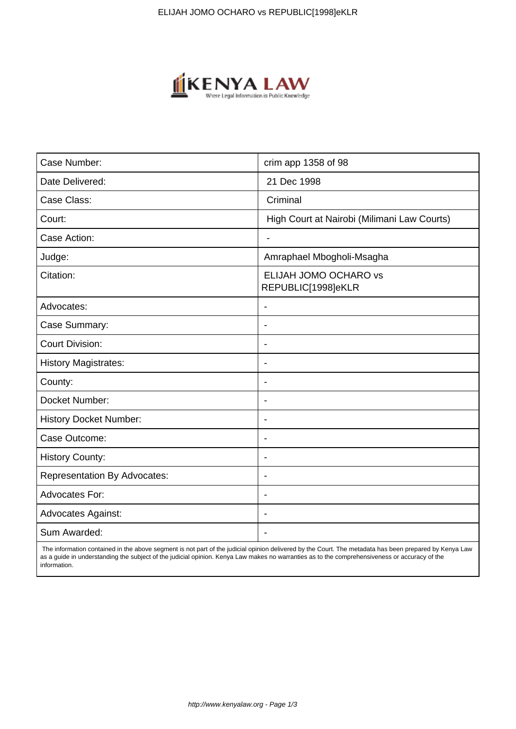

| Case Number:                        | crim app 1358 of 98                         |
|-------------------------------------|---------------------------------------------|
| Date Delivered:                     | 21 Dec 1998                                 |
| Case Class:                         | Criminal                                    |
| Court:                              | High Court at Nairobi (Milimani Law Courts) |
| Case Action:                        | L.                                          |
| Judge:                              | Amraphael Mbogholi-Msagha                   |
| Citation:                           | ELIJAH JOMO OCHARO vs<br>REPUBLIC[1998]eKLR |
| Advocates:                          | $\blacksquare$                              |
| Case Summary:                       | $\overline{\phantom{a}}$                    |
| <b>Court Division:</b>              |                                             |
| <b>History Magistrates:</b>         | $\blacksquare$                              |
| County:                             | $\blacksquare$                              |
| Docket Number:                      | $\blacksquare$                              |
| <b>History Docket Number:</b>       | $\blacksquare$                              |
| Case Outcome:                       |                                             |
| <b>History County:</b>              |                                             |
| <b>Representation By Advocates:</b> | $\overline{\phantom{a}}$                    |
| Advocates For:                      | $\blacksquare$                              |
| <b>Advocates Against:</b>           |                                             |
| Sum Awarded:                        |                                             |

 The information contained in the above segment is not part of the judicial opinion delivered by the Court. The metadata has been prepared by Kenya Law as a guide in understanding the subject of the judicial opinion. Kenya Law makes no warranties as to the comprehensiveness or accuracy of the information.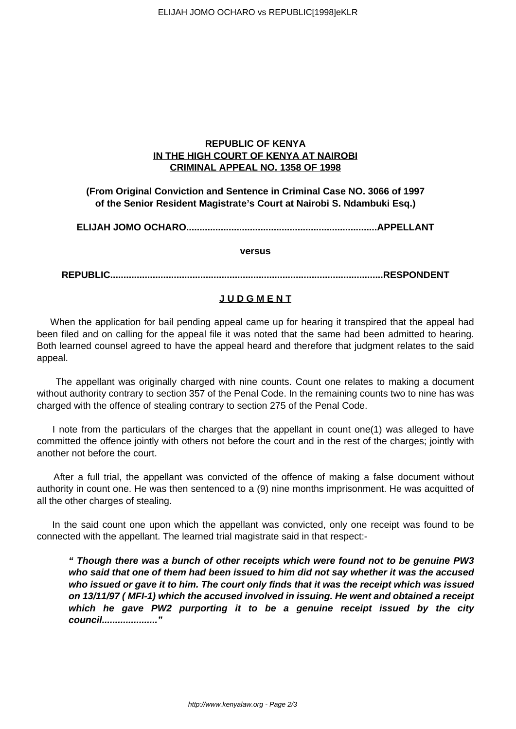# **REPUBLIC OF KENYA IN THE HIGH COURT OF KENYA AT NAIROBI CRIMINAL APPEAL NO. 1358 OF 1998**

**(From Original Conviction and Sentence in Criminal Case NO. 3066 of 1997 of the Senior Resident Magistrate's Court at Nairobi S. Ndambuki Esq.)**

**ELIJAH JOMO OCHARO........................................................................APPELLANT**

**versus**

**REPUBLIC.......................................................................................................RESPONDENT**

# **J U D G M E N T**

 When the application for bail pending appeal came up for hearing it transpired that the appeal had been filed and on calling for the appeal file it was noted that the same had been admitted to hearing. Both learned counsel agreed to have the appeal heard and therefore that judgment relates to the said appeal.

 The appellant was originally charged with nine counts. Count one relates to making a document without authority contrary to section 357 of the Penal Code. In the remaining counts two to nine has was charged with the offence of stealing contrary to section 275 of the Penal Code.

 I note from the particulars of the charges that the appellant in count one(1) was alleged to have committed the offence jointly with others not before the court and in the rest of the charges; jointly with another not before the court.

 After a full trial, the appellant was convicted of the offence of making a false document without authority in count one. He was then sentenced to a (9) nine months imprisonment. He was acquitted of all the other charges of stealing.

 In the said count one upon which the appellant was convicted, only one receipt was found to be connected with the appellant. The learned trial magistrate said in that respect:-

**" Though there was a bunch of other receipts which were found not to be genuine PW3 who said that one of them had been issued to him did not say whether it was the accused who issued or gave it to him. The court only finds that it was the receipt which was issued on 13/11/97 ( MFI-1) which the accused involved in issuing. He went and obtained a receipt which he gave PW2 purporting it to be a genuine receipt issued by the city council....................."**